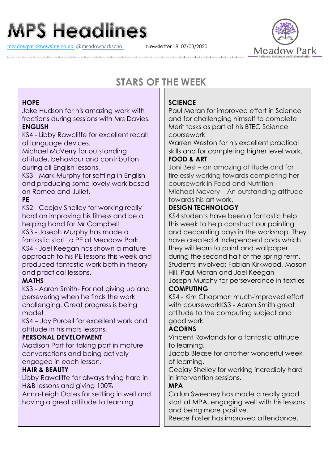# **MPS Headlines**

[meadowparkknowsley.co.uk](https://t.co/znDDto23ds) **@**[meadowparkscho](https://twitter.com/meadowparkscho) Newsletter 18: 07/03/2020



# **STARS OF THE WEEK**

#### **HOPE**

Jake Hudson for his amazing work with fractions during sessions with Mrs Davies. **ENGLISH**

KS4 - Libby Rawcliffe for excellent recall of language devices.

Michael McVerry for outstanding attitude, behaviour and contribution during all English lessons.

KS3 - Mark Murphy for settling in English and producing some lovely work based on Romeo and Juliet.

# **PE**

KS2 - Ceejay Shelley for working really hard on improving his fitness and be a helping hand for Mr Campbell.

KS3 - Joseph Murphy has made a fantastic start to PE at Meadow Park. KS4 - Joel Keegan has shown a mature approach to his PE lessons this week and produced fantastic work both in theory and practical lessons.

# **MATHS**

KS3 - Aaron Smith- For not giving up and persevering when he finds the work challenging. Great progress is being made!

KS4 – Jay Purcell for excellent work and attitude in his mats lessons.

# **PERSONAL DEVELOPMENT**

Madison Part for taking part in mature conversations and being actively engaged in each lesson.

# **HAIR & BEAUTY**

Libby Rawcliffe for always trying hard in H&B lessons and giving 100% Anna-Leigh Oates for settling in well and having a great attitude to learning

# **SCIENCE**

Paul Moran for improved effort in Science and for challenging himself to complete Merit tasks as part of his BTEC Science coursework

Warren Weston for his excellent practical skills and for completing higher level work.

#### **FOOD & ART**

Joni Best – an amazing attitude and for tirelessly working towards completing her coursework in Food and Nutrition Michael Mcvery – An outstanding attitude towards his art work.

#### **DESIGN TECHNOLOGY**

KS4 students have been a fantastic help this week to help construct our painting and decorating bays in the workshop. They have created 4 independent pods which they will learn to paint and wallpaper during the second half of the spring term. Students involved: Fabian Kirkwood, Mason Hill, Paul Moran and Joel Keegan Joseph Murphy for perseverance in textiles

#### **COMPUTING**

KS4 - Kim Chapman much-improved effort with courseworkKS3 - Aaron Smith great attitude to the computing subject and good work

# **ACORNS**

Vincent Rowlands for a fantastic attitude to learning.

Jacob Blease for another wonderful week of learning.

Ceejay Shelley for working incredibly hard in intervention sessions.

# **MPA**

Callun Sweeney has made a really good start at MPA, engaging well with his lessons and being more positive.

Reece Foster has improved attendance.